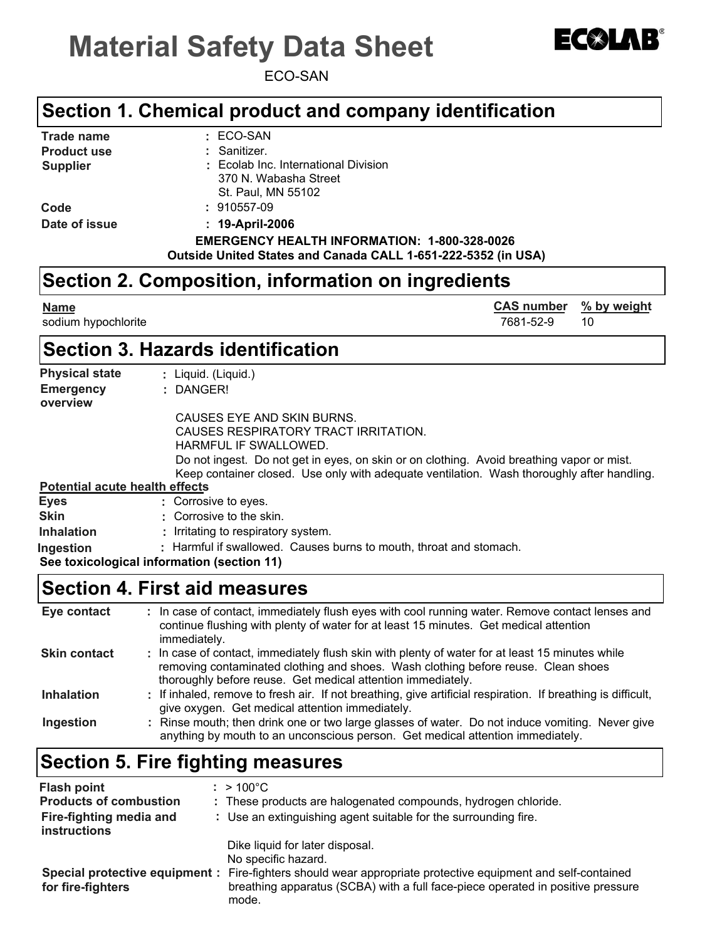# **Material Safety Data Sheet**



# $E(X|AB)$

#### **Section 1. Chemical product and company identification**

| <b>Trade name</b>  | $\pm$ ECO-SAN                                                 |
|--------------------|---------------------------------------------------------------|
| <b>Product use</b> | : Sanitizer.                                                  |
| <b>Supplier</b>    | : Ecolab Inc. International Division                          |
|                    | 370 N. Wabasha Street                                         |
|                    | St. Paul, MN 55102                                            |
| Code               | $: 910557-09$                                                 |
| Date of issue      | $: 19-April-2006$                                             |
|                    | <b>EMERGENCY HEALTH INFORMATION: 1-800-328-0026</b>           |
|                    | Outside United States and Canada CALL 1-651-222-5352 (in USA) |

#### **Section 2. Composition, information on ingredients**

| <u>Name</u><br>sodium hypochlorite             | <b>CAS number</b><br>7681-52-9 | % by weight<br>10 |
|------------------------------------------------|--------------------------------|-------------------|
| <b>Section 3. Hazards identification</b>       |                                |                   |
| Dhusiasi stats<br>الماستندية المستندية المستند |                                |                   |

| <b>Physical state</b>                 | : Liquid. (Liquid.)                                                                                                                                                                     |
|---------------------------------------|-----------------------------------------------------------------------------------------------------------------------------------------------------------------------------------------|
| <b>Emergency</b><br>overview          | : DANGER!                                                                                                                                                                               |
|                                       | CAUSES EYE AND SKIN BURNS.                                                                                                                                                              |
|                                       | CAUSES RESPIRATORY TRACT IRRITATION.                                                                                                                                                    |
|                                       | HARMFUL IF SWALLOWED.                                                                                                                                                                   |
|                                       | Do not ingest. Do not get in eyes, on skin or on clothing. Avoid breathing vapor or mist.<br>Keep container closed. Use only with adequate ventilation. Wash thoroughly after handling. |
| <b>Potential acute health effects</b> |                                                                                                                                                                                         |
| <b>Eyes</b>                           | : Corrosive to eyes.                                                                                                                                                                    |
| <b>Skin</b>                           | : Corrosive to the skin.                                                                                                                                                                |
| <b>Inhalation</b>                     | : Irritating to respiratory system.                                                                                                                                                     |
| Ingestion                             | : Harmful if swallowed. Causes burns to mouth, throat and stomach.                                                                                                                      |
|                                       | See toxicological information (section 11)                                                                                                                                              |

#### **Section 4. First aid measures**

| Eye contact         | : In case of contact, immediately flush eyes with cool running water. Remove contact lenses and<br>continue flushing with plenty of water for at least 15 minutes. Get medical attention<br>immediately.                                            |
|---------------------|-----------------------------------------------------------------------------------------------------------------------------------------------------------------------------------------------------------------------------------------------------|
| <b>Skin contact</b> | : In case of contact, immediately flush skin with plenty of water for at least 15 minutes while<br>removing contaminated clothing and shoes. Wash clothing before reuse. Clean shoes<br>thoroughly before reuse. Get medical attention immediately. |
| <b>Inhalation</b>   | : If inhaled, remove to fresh air. If not breathing, give artificial respiration. If breathing is difficult,<br>give oxygen. Get medical attention immediately.                                                                                     |
| Ingestion           | : Rinse mouth; then drink one or two large glasses of water. Do not induce vomiting. Never give<br>anything by mouth to an unconscious person. Get medical attention immediately.                                                                   |

# **Section 5. Fire fighting measures**

| <b>Flash point</b><br><b>Products of combustion</b><br>Fire-fighting media and<br>instructions | $: > 100^{\circ}$ C<br>: These products are halogenated compounds, hydrogen chloride.<br>: Use an extinguishing agent suitable for the surrounding fire.                                                                            |
|------------------------------------------------------------------------------------------------|-------------------------------------------------------------------------------------------------------------------------------------------------------------------------------------------------------------------------------------|
| Special protective equipment :<br>for fire-fighters                                            | Dike liquid for later disposal.<br>No specific hazard.<br>Fire-fighters should wear appropriate protective equipment and self-contained<br>breathing apparatus (SCBA) with a full face-piece operated in positive pressure<br>mode. |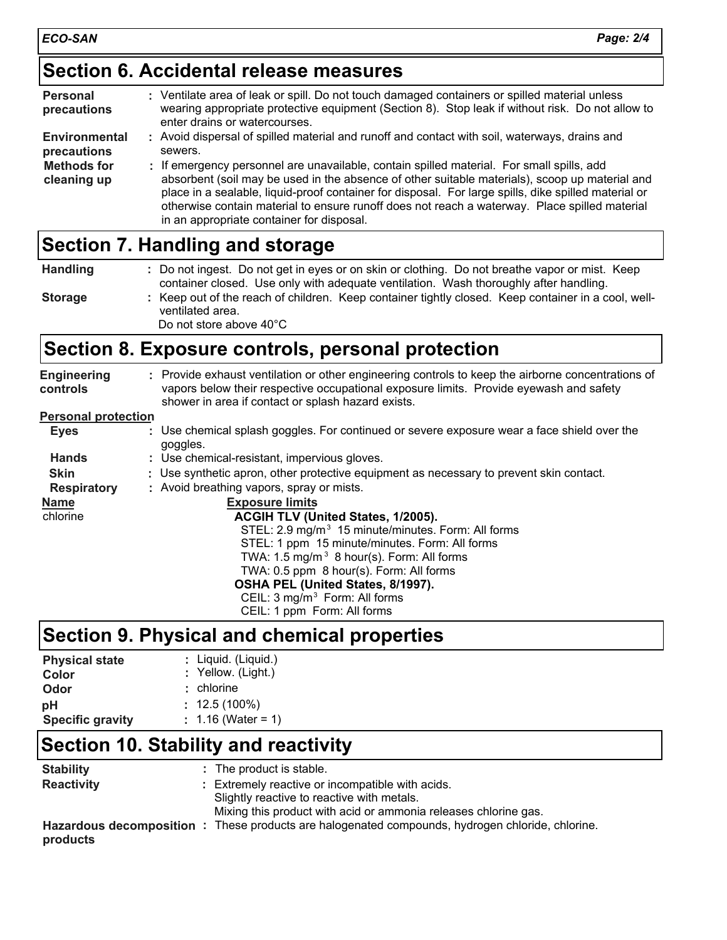### **Section 6. Accidental release measures**

| <b>Personal</b><br>precautions    | : Ventilate area of leak or spill. Do not touch damaged containers or spilled material unless<br>wearing appropriate protective equipment (Section 8). Stop leak if without risk. Do not allow to<br>enter drains or watercourses.                                                                                                                                                                                                                |
|-----------------------------------|---------------------------------------------------------------------------------------------------------------------------------------------------------------------------------------------------------------------------------------------------------------------------------------------------------------------------------------------------------------------------------------------------------------------------------------------------|
| Environmental<br>precautions      | : Avoid dispersal of spilled material and runoff and contact with soil, waterways, drains and<br>sewers.                                                                                                                                                                                                                                                                                                                                          |
| <b>Methods for</b><br>cleaning up | : If emergency personnel are unavailable, contain spilled material. For small spills, add<br>absorbent (soil may be used in the absence of other suitable materials), scoop up material and<br>place in a sealable, liquid-proof container for disposal. For large spills, dike spilled material or<br>otherwise contain material to ensure runoff does not reach a waterway. Place spilled material<br>in an appropriate container for disposal. |

## **Section 7. Handling and storage**

| <b>Handling</b> | : Do not ingest. Do not get in eyes or on skin or clothing. Do not breathe vapor or mist. Keep                                                     |
|-----------------|----------------------------------------------------------------------------------------------------------------------------------------------------|
|                 | container closed. Use only with adequate ventilation. Wash thoroughly after handling.                                                              |
| <b>Storage</b>  | : Keep out of the reach of children. Keep container tightly closed. Keep container in a cool, well-<br>ventilated area.<br>Do not store above 40°C |

## **Section 8. Exposure controls, personal protection**

| <b>Engineering</b><br>controls | : Provide exhaust ventilation or other engineering controls to keep the airborne concentrations of<br>vapors below their respective occupational exposure limits. Provide eyewash and safety<br>shower in area if contact or splash hazard exists. |
|--------------------------------|----------------------------------------------------------------------------------------------------------------------------------------------------------------------------------------------------------------------------------------------------|
| <b>Personal protection</b>     |                                                                                                                                                                                                                                                    |
| <b>Eyes</b>                    | : Use chemical splash goggles. For continued or severe exposure wear a face shield over the<br>goggles.                                                                                                                                            |
| <b>Hands</b>                   | : Use chemical-resistant, impervious gloves.                                                                                                                                                                                                       |
| <b>Skin</b>                    | : Use synthetic apron, other protective equipment as necessary to prevent skin contact.                                                                                                                                                            |
| <b>Respiratory</b>             | : Avoid breathing vapors, spray or mists.                                                                                                                                                                                                          |
| <b>Name</b>                    | <b>Exposure limits</b>                                                                                                                                                                                                                             |
| chlorine                       | ACGIH TLV (United States, 1/2005).                                                                                                                                                                                                                 |
|                                | STEL: 2.9 mg/m <sup>3</sup> 15 minute/minutes. Form: All forms                                                                                                                                                                                     |
|                                | STEL: 1 ppm 15 minute/minutes. Form: All forms                                                                                                                                                                                                     |
|                                | TWA: $1.5 \text{ mg/m}^3$ 8 hour(s). Form: All forms                                                                                                                                                                                               |
|                                | TWA: 0.5 ppm 8 hour(s). Form: All forms                                                                                                                                                                                                            |
|                                | OSHA PEL (United States, 8/1997).                                                                                                                                                                                                                  |
|                                | CEIL: 3 mg/m <sup>3</sup> Form: All forms                                                                                                                                                                                                          |
|                                | CEIL: 1 ppm Form: All forms                                                                                                                                                                                                                        |

# **Section 9. Physical and chemical properties**

| <b>Physical state</b>   | : Liquid. (Liquid.)  |
|-------------------------|----------------------|
| Color                   | : Yellow. (Light.)   |
| Odor                    | $:$ chlorine         |
| рH                      | $: 12.5(100\%)$      |
| <b>Specific gravity</b> | : $1.16$ (Water = 1) |

## **Section 10. Stability and reactivity**

| <b>Stability</b>  | : The product is stable.                                                                                                                                          |
|-------------------|-------------------------------------------------------------------------------------------------------------------------------------------------------------------|
| <b>Reactivity</b> | : Extremely reactive or incompatible with acids.<br>Slightly reactive to reactive with metals.<br>Mixing this product with acid or ammonia releases chlorine gas. |
| products          | Hazardous decomposition : These products are halogenated compounds, hydrogen chloride, chlorine.                                                                  |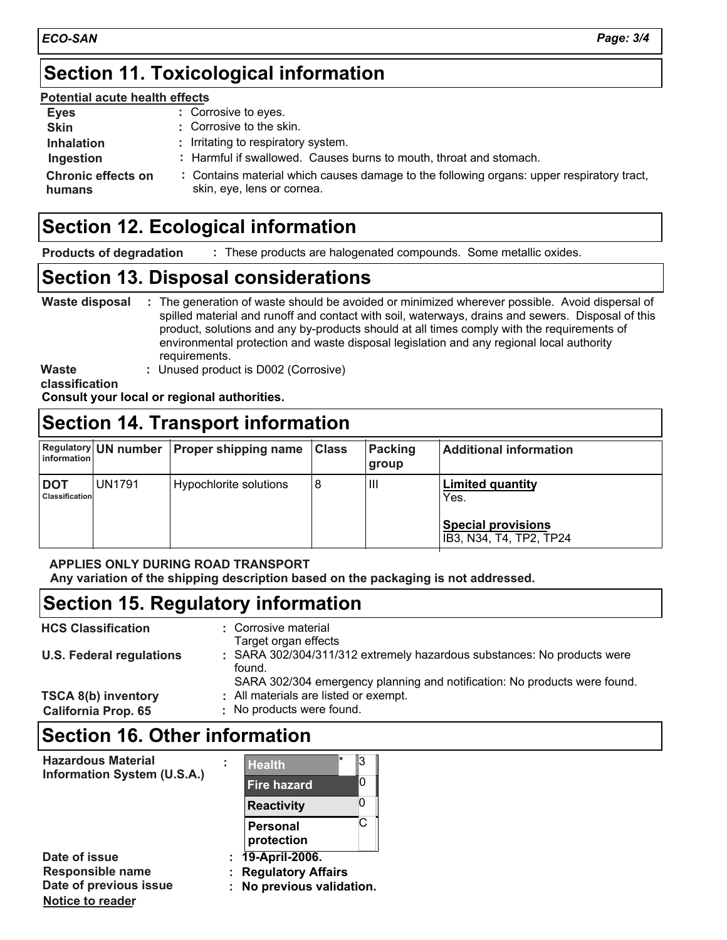#### **Section 11. Toxicological information**

#### **Potential acute health effects**

| <b>Eyes</b>                         | : Corrosive to eyes.                                                                                                    |
|-------------------------------------|-------------------------------------------------------------------------------------------------------------------------|
| <b>Skin</b>                         | : Corrosive to the skin.                                                                                                |
| <b>Inhalation</b>                   | : Irritating to respiratory system.                                                                                     |
| Ingestion                           | : Harmful if swallowed. Causes burns to mouth, throat and stomach.                                                      |
| <b>Chronic effects on</b><br>humans | : Contains material which causes damage to the following organs: upper respiratory tract,<br>skin, eye, lens or cornea. |

#### **Section 12. Ecological information**

These products are halogenated compounds. Some metallic oxides. **Products of degradation :**

#### **Section 13. Disposal considerations**

| Waste disposal | : The generation of waste should be avoided or minimized wherever possible. Avoid dispersal of<br>spilled material and runoff and contact with soil, waterways, drains and sewers. Disposal of this<br>product, solutions and any by-products should at all times comply with the requirements of<br>environmental protection and waste disposal legislation and any regional local authority<br>requirements. |
|----------------|----------------------------------------------------------------------------------------------------------------------------------------------------------------------------------------------------------------------------------------------------------------------------------------------------------------------------------------------------------------------------------------------------------------|
| <b>Waste</b>   | : Unused product is D002 (Corrosive)                                                                                                                                                                                                                                                                                                                                                                           |

**classification**

**Notice to reader**

**Consult your local or regional authorities.**

#### **Section 14. Transport information**

| information                         |               | Regulatory UN number   Proper shipping name | <b>Class</b> | <b>Packing</b><br>group | <b>Additional information</b>                                                           |
|-------------------------------------|---------------|---------------------------------------------|--------------|-------------------------|-----------------------------------------------------------------------------------------|
| <b>DOT</b><br><b>Classification</b> | <b>UN1791</b> | Hypochlorite solutions                      | 8            | Ш                       | <b>Limited quantity</b><br>Yes.<br><b>Special provisions</b><br>IB3, N34, T4, TP2, TP24 |

#### **APPLIES ONLY DURING ROAD TRANSPORT**

**Any variation of the shipping description based on the packaging is not addressed.**

### **Section 15. Regulatory information**

| <b>HCS Classification</b>                                | : Corrosive material<br>Target organ effects                                                                                                                   |
|----------------------------------------------------------|----------------------------------------------------------------------------------------------------------------------------------------------------------------|
| <b>U.S. Federal regulations</b>                          | : SARA 302/304/311/312 extremely hazardous substances: No products were<br>found.<br>SARA 302/304 emergency planning and notification: No products were found. |
| <b>TSCA 8(b) inventory</b><br><b>California Prop. 65</b> | : All materials are listed or exempt.<br>: No products were found.                                                                                             |

#### **Section 16. Other information**

| <b>Hazardous Material</b><br>Information System (U.S.A.) | <b>Health</b>                               | ß |
|----------------------------------------------------------|---------------------------------------------|---|
|                                                          | <b>Fire hazard</b>                          | O |
|                                                          | <b>Reactivity</b>                           |   |
|                                                          | <b>Personal</b><br>protection               | C |
| Date of issue<br><b>Responsible name</b>                 | 19-April-2006.<br><b>Regulatory Affairs</b> |   |
| Date of previous issue                                   | No previous validation.                     |   |